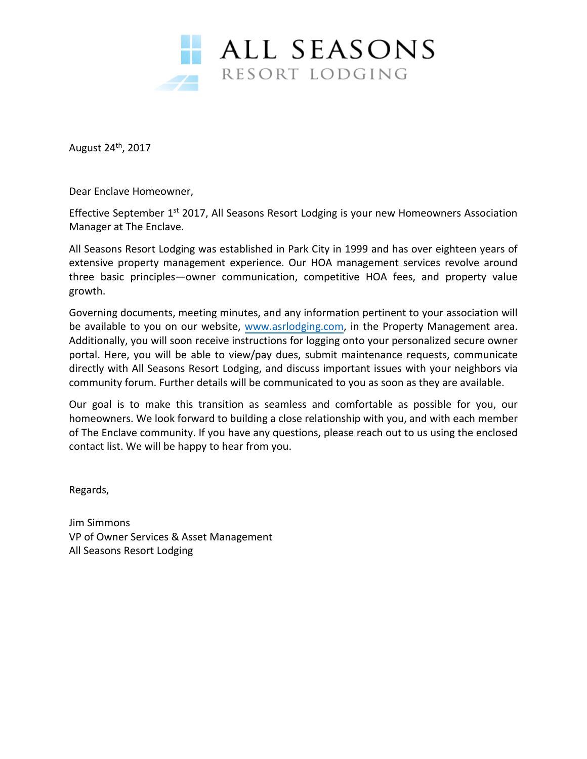

August 24<sup>th</sup>, 2017

Dear Enclave Homeowner,

Effective September 1<sup>st</sup> 2017, All Seasons Resort Lodging is your new Homeowners Association Manager at The Enclave.

All Seasons Resort Lodging was established in Park City in 1999 and has over eighteen years of extensive property management experience. Our HOA management services revolve around three basic principles—owner communication, competitive HOA fees, and property value growth.

Governing documents, meeting minutes, and any information pertinent to your association will be available to you on our website, [www.asrlodging.com,](http://www.asrlodging.com/) in the Property Management area. Additionally, you will soon receive instructions for logging onto your personalized secure owner portal. Here, you will be able to view/pay dues, submit maintenance requests, communicate directly with All Seasons Resort Lodging, and discuss important issues with your neighbors via community forum. Further details will be communicated to you as soon as they are available.

Our goal is to make this transition as seamless and comfortable as possible for you, our homeowners. We look forward to building a close relationship with you, and with each member of The Enclave community. If you have any questions, please reach out to us using the enclosed contact list. We will be happy to hear from you.

Regards,

Jim Simmons VP of Owner Services & Asset Management All Seasons Resort Lodging